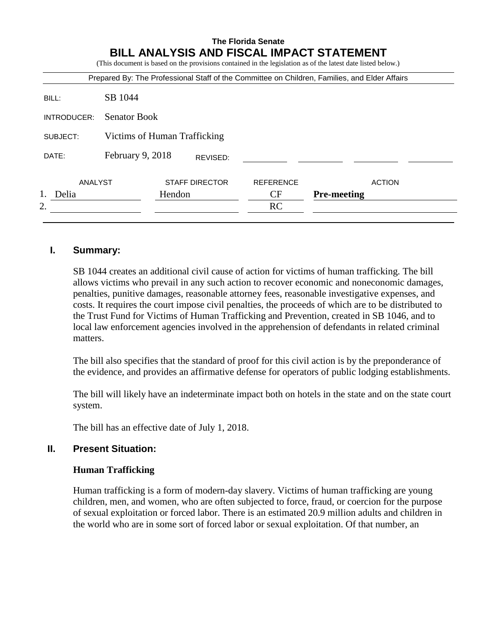# **The Florida Senate BILL ANALYSIS AND FISCAL IMPACT STATEMENT** (This document is based on the provisions contained in the legislation as of the latest date listed below.)

| Prepared By: The Professional Staff of the Committee on Children, Families, and Elder Affairs |                              |                       |          |                  |                    |  |
|-----------------------------------------------------------------------------------------------|------------------------------|-----------------------|----------|------------------|--------------------|--|
| BILL:                                                                                         | SB 1044                      |                       |          |                  |                    |  |
| INTRODUCER:                                                                                   | <b>Senator Book</b>          |                       |          |                  |                    |  |
| SUBJECT:                                                                                      | Victims of Human Trafficking |                       |          |                  |                    |  |
| DATE:                                                                                         | February 9, 2018             |                       | REVISED: |                  |                    |  |
| ANALYST                                                                                       |                              | <b>STAFF DIRECTOR</b> |          | <b>REFERENCE</b> | <b>ACTION</b>      |  |
| Delia                                                                                         |                              | Hendon                |          | CF               | <b>Pre-meeting</b> |  |
| 2.                                                                                            |                              |                       |          | <b>RC</b>        |                    |  |
|                                                                                               |                              |                       |          |                  |                    |  |

#### **I. Summary:**

SB 1044 creates an additional civil cause of action for victims of human trafficking. The bill allows victims who prevail in any such action to recover economic and noneconomic damages, penalties, punitive damages, reasonable attorney fees, reasonable investigative expenses, and costs. It requires the court impose civil penalties, the proceeds of which are to be distributed to the Trust Fund for Victims of Human Trafficking and Prevention, created in SB 1046, and to local law enforcement agencies involved in the apprehension of defendants in related criminal matters.

The bill also specifies that the standard of proof for this civil action is by the preponderance of the evidence, and provides an affirmative defense for operators of public lodging establishments.

The bill will likely have an indeterminate impact both on hotels in the state and on the state court system.

The bill has an effective date of July 1, 2018.

## **II. Present Situation:**

#### **Human Trafficking**

Human trafficking is a form of modern-day slavery. Victims of human trafficking are young children, men, and women, who are often subjected to force, fraud, or coercion for the purpose of sexual exploitation or forced labor. There is an estimated 20.9 million adults and children in the world who are in some sort of forced labor or sexual exploitation. Of that number, an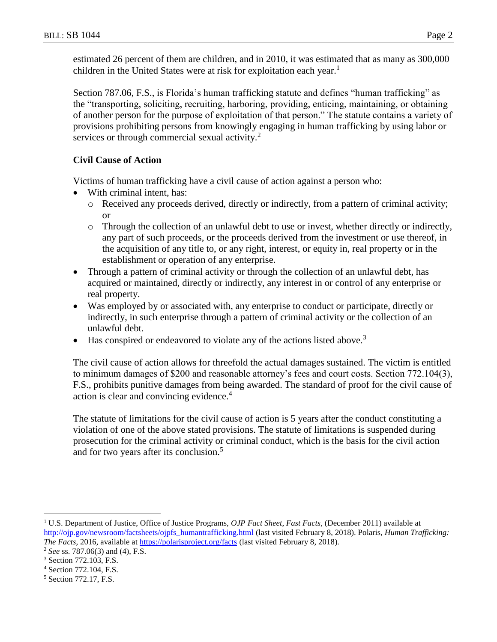estimated 26 percent of them are children, and in 2010, it was estimated that as many as 300,000 children in the United States were at risk for exploitation each year.<sup>1</sup>

Section 787.06, F.S., is Florida's human trafficking statute and defines "human trafficking" as the "transporting, soliciting, recruiting, harboring, providing, enticing, maintaining, or obtaining of another person for the purpose of exploitation of that person." The statute contains a variety of provisions prohibiting persons from knowingly engaging in human trafficking by using labor or services or through commercial sexual activity.<sup>2</sup>

## **Civil Cause of Action**

Victims of human trafficking have a civil cause of action against a person who:

- With criminal intent, has:
	- o Received any proceeds derived, directly or indirectly, from a pattern of criminal activity; or
	- o Through the collection of an unlawful debt to use or invest, whether directly or indirectly, any part of such proceeds, or the proceeds derived from the investment or use thereof, in the acquisition of any title to, or any right, interest, or equity in, real property or in the establishment or operation of any enterprise.
- Through a pattern of criminal activity or through the collection of an unlawful debt, has acquired or maintained, directly or indirectly, any interest in or control of any enterprise or real property.
- Was employed by or associated with, any enterprise to conduct or participate, directly or indirectly, in such enterprise through a pattern of criminal activity or the collection of an unlawful debt.
- Has conspired or endeavored to violate any of the actions listed above.<sup>3</sup>

The civil cause of action allows for threefold the actual damages sustained. The victim is entitled to minimum damages of \$200 and reasonable attorney's fees and court costs. Section 772.104(3), F.S., prohibits punitive damages from being awarded. The standard of proof for the civil cause of action is clear and convincing evidence.<sup>4</sup>

The statute of limitations for the civil cause of action is 5 years after the conduct constituting a violation of one of the above stated provisions. The statute of limitations is suspended during prosecution for the criminal activity or criminal conduct, which is the basis for the civil action and for two years after its conclusion.<sup>5</sup>

 $\overline{a}$ 

<sup>1</sup> U.S. Department of Justice, Office of Justice Programs, *OJP Fact Sheet*, *Fast Facts,* (December 2011) available at [http://ojp.gov/newsroom/factsheets/ojpfs\\_humantrafficking.html](http://ojp.gov/newsroom/factsheets/ojpfs_humantrafficking.html) (last visited February 8, 2018). Polaris, *Human Trafficking: The Facts*, 2016, available at *https://polarisproject.org/facts* (last visited February 8, 2018).

<sup>2</sup> *See* ss. 787.06(3) and (4), F.S.

<sup>3</sup> Section 772.103, F.S.

<sup>4</sup> Section 772.104, F.S.

<sup>5</sup> Section 772.17, F.S.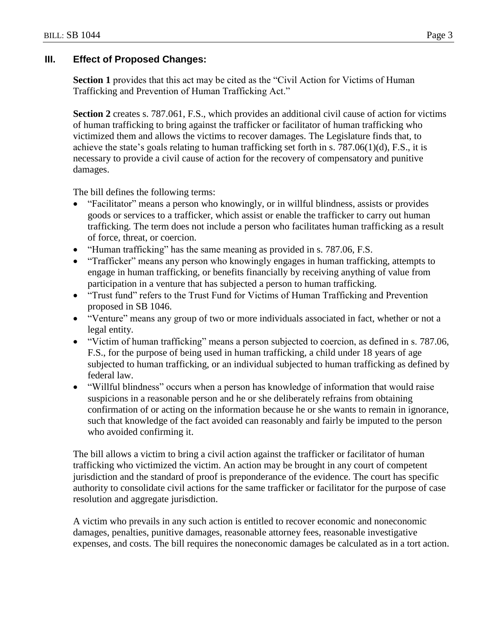#### **III. Effect of Proposed Changes:**

**Section 1** provides that this act may be cited as the "Civil Action for Victims of Human Trafficking and Prevention of Human Trafficking Act."

**Section 2** creates s. 787.061, F.S., which provides an additional civil cause of action for victims of human trafficking to bring against the trafficker or facilitator of human trafficking who victimized them and allows the victims to recover damages. The Legislature finds that, to achieve the state's goals relating to human trafficking set forth in s. 787.06(1)(d), F.S., it is necessary to provide a civil cause of action for the recovery of compensatory and punitive damages.

The bill defines the following terms:

- "Facilitator" means a person who knowingly, or in willful blindness, assists or provides goods or services to a trafficker, which assist or enable the trafficker to carry out human trafficking. The term does not include a person who facilitates human trafficking as a result of force, threat, or coercion.
- "Human trafficking" has the same meaning as provided in s. 787.06, F.S.
- "Trafficker" means any person who knowingly engages in human trafficking, attempts to engage in human trafficking, or benefits financially by receiving anything of value from participation in a venture that has subjected a person to human trafficking.
- "Trust fund" refers to the Trust Fund for Victims of Human Trafficking and Prevention proposed in SB 1046.
- "Venture" means any group of two or more individuals associated in fact, whether or not a legal entity.
- "Victim of human trafficking" means a person subjected to coercion, as defined in s. 787.06, F.S., for the purpose of being used in human trafficking, a child under 18 years of age subjected to human trafficking, or an individual subjected to human trafficking as defined by federal law.
- "Willful blindness" occurs when a person has knowledge of information that would raise suspicions in a reasonable person and he or she deliberately refrains from obtaining confirmation of or acting on the information because he or she wants to remain in ignorance, such that knowledge of the fact avoided can reasonably and fairly be imputed to the person who avoided confirming it.

The bill allows a victim to bring a civil action against the trafficker or facilitator of human trafficking who victimized the victim. An action may be brought in any court of competent jurisdiction and the standard of proof is preponderance of the evidence. The court has specific authority to consolidate civil actions for the same trafficker or facilitator for the purpose of case resolution and aggregate jurisdiction.

A victim who prevails in any such action is entitled to recover economic and noneconomic damages, penalties, punitive damages, reasonable attorney fees, reasonable investigative expenses, and costs. The bill requires the noneconomic damages be calculated as in a tort action.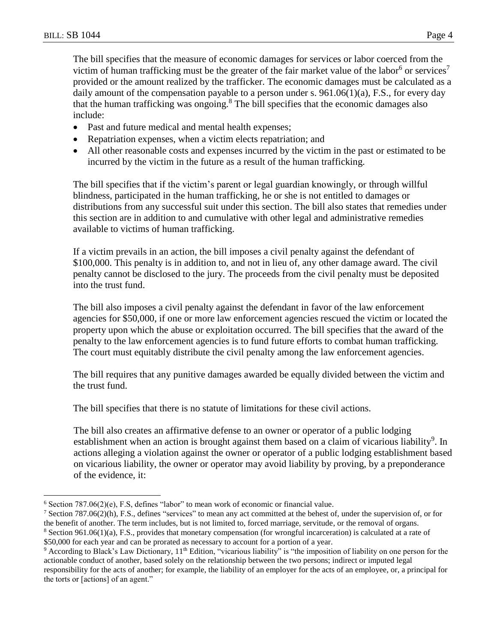The bill specifies that the measure of economic damages for services or labor coerced from the victim of human trafficking must be the greater of the fair market value of the labor<sup>6</sup> or services<sup>7</sup> provided or the amount realized by the trafficker. The economic damages must be calculated as a daily amount of the compensation payable to a person under s. 961.06(1)(a), F.S., for every day that the human trafficking was ongoing.<sup>8</sup> The bill specifies that the economic damages also include:

- Past and future medical and mental health expenses;
- Repatriation expenses, when a victim elects repatriation; and
- All other reasonable costs and expenses incurred by the victim in the past or estimated to be incurred by the victim in the future as a result of the human trafficking.

The bill specifies that if the victim's parent or legal guardian knowingly, or through willful blindness, participated in the human trafficking, he or she is not entitled to damages or distributions from any successful suit under this section. The bill also states that remedies under this section are in addition to and cumulative with other legal and administrative remedies available to victims of human trafficking.

If a victim prevails in an action, the bill imposes a civil penalty against the defendant of \$100,000. This penalty is in addition to, and not in lieu of, any other damage award. The civil penalty cannot be disclosed to the jury. The proceeds from the civil penalty must be deposited into the trust fund.

The bill also imposes a civil penalty against the defendant in favor of the law enforcement agencies for \$50,000, if one or more law enforcement agencies rescued the victim or located the property upon which the abuse or exploitation occurred. The bill specifies that the award of the penalty to the law enforcement agencies is to fund future efforts to combat human trafficking. The court must equitably distribute the civil penalty among the law enforcement agencies.

The bill requires that any punitive damages awarded be equally divided between the victim and the trust fund.

The bill specifies that there is no statute of limitations for these civil actions.

The bill also creates an affirmative defense to an owner or operator of a public lodging establishment when an action is brought against them based on a claim of vicarious liability<sup>9</sup>. In actions alleging a violation against the owner or operator of a public lodging establishment based on vicarious liability, the owner or operator may avoid liability by proving, by a preponderance of the evidence, it:

 $\overline{a}$  $6$  Section 787.06(2)(e), F.S, defines "labor" to mean work of economic or financial value.

 $^7$  Section 787.06(2)(h), F.S., defines "services" to mean any act committed at the behest of, under the supervision of, or for the benefit of another. The term includes, but is not limited to, forced marriage, servitude, or the removal of organs.  $8$  Section 961.06(1)(a), F.S., provides that monetary compensation (for wrongful incarceration) is calculated at a rate of \$50,000 for each year and can be prorated as necessary to account for a portion of a year.

<sup>9</sup> According to Black's Law Dictionary, 11th Edition, "vicarious liability" is "the imposition of liability on one person for the actionable conduct of another, based solely on the relationship between the two persons; indirect or imputed legal responsibility for the acts of another; for example, the liability of an employer for the acts of an employee, or, a principal for the torts or [actions] of an agent."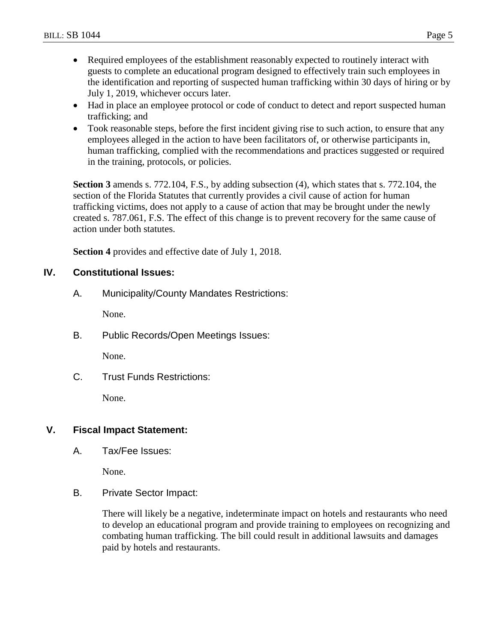- Required employees of the establishment reasonably expected to routinely interact with guests to complete an educational program designed to effectively train such employees in the identification and reporting of suspected human trafficking within 30 days of hiring or by July 1, 2019, whichever occurs later.
- Had in place an employee protocol or code of conduct to detect and report suspected human trafficking; and
- Took reasonable steps, before the first incident giving rise to such action, to ensure that any employees alleged in the action to have been facilitators of, or otherwise participants in, human trafficking, complied with the recommendations and practices suggested or required in the training, protocols, or policies.

**Section 3** amends s. 772.104, F.S., by adding subsection (4), which states that s. 772.104, the section of the Florida Statutes that currently provides a civil cause of action for human trafficking victims, does not apply to a cause of action that may be brought under the newly created s. 787.061, F.S. The effect of this change is to prevent recovery for the same cause of action under both statutes.

**Section 4** provides and effective date of July 1, 2018.

#### **IV. Constitutional Issues:**

A. Municipality/County Mandates Restrictions:

None.

B. Public Records/Open Meetings Issues:

None.

C. Trust Funds Restrictions:

None.

#### **V. Fiscal Impact Statement:**

A. Tax/Fee Issues:

None.

B. Private Sector Impact:

There will likely be a negative, indeterminate impact on hotels and restaurants who need to develop an educational program and provide training to employees on recognizing and combating human trafficking. The bill could result in additional lawsuits and damages paid by hotels and restaurants.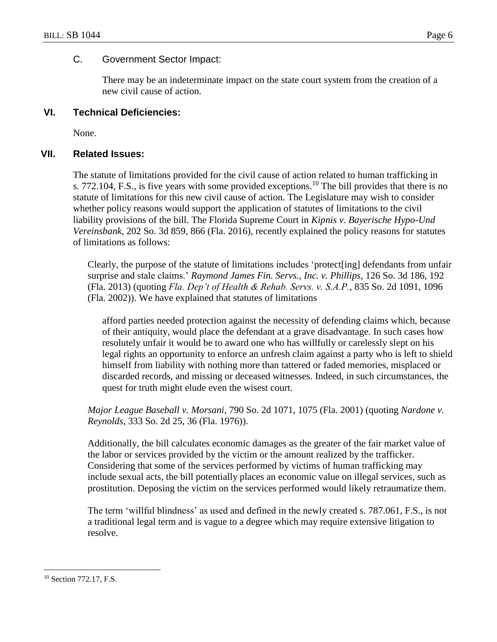#### C. Government Sector Impact:

There may be an indeterminate impact on the state court system from the creation of a new civil cause of action.

### **VI. Technical Deficiencies:**

None.

#### **VII. Related Issues:**

The statute of limitations provided for the civil cause of action related to human trafficking in s. 772.104, F.S., is five years with some provided exceptions.<sup>10</sup> The bill provides that there is no statute of limitations for this new civil cause of action. The Legislature may wish to consider whether policy reasons would support the application of statutes of limitations to the civil liability provisions of the bill. The Florida Supreme Court in *Kipnis v. Bayerische Hypo-Und Vereinsbank*, 202 So. 3d 859, 866 (Fla. 2016), recently explained the policy reasons for statutes of limitations as follows:

Clearly, the purpose of the statute of limitations includes 'protect[ing] defendants from unfair surprise and stale claims.' *Raymond James Fin. Servs., Inc. v. Phillips*, 126 So. 3d 186, 192 (Fla. 2013) (quoting *Fla. Dep't of Health & Rehab. Servs. v. S.A.P.*, 835 So. 2d 1091, 1096 (Fla. 2002)). We have explained that statutes of limitations

afford parties needed protection against the necessity of defending claims which, because of their antiquity, would place the defendant at a grave disadvantage. In such cases how resolutely unfair it would be to award one who has willfully or carelessly slept on his legal rights an opportunity to enforce an unfresh claim against a party who is left to shield himself from liability with nothing more than tattered or faded memories, misplaced or discarded records, and missing or deceased witnesses. Indeed, in such circumstances, the quest for truth might elude even the wisest court.

*Major League Baseball v. Morsani*, 790 So. 2d 1071, 1075 (Fla. 2001) (quoting *Nardone v. Reynolds*, 333 So. 2d 25, 36 (Fla. 1976)).

Additionally, the bill calculates economic damages as the greater of the fair market value of the labor or services provided by the victim or the amount realized by the trafficker. Considering that some of the services performed by victims of human trafficking may include sexual acts, the bill potentially places an economic value on illegal services, such as prostitution. Deposing the victim on the services performed would likely retraumatize them.

The term 'willful blindness' as used and defined in the newly created s. 787.061, F.S., is not a traditional legal term and is vague to a degree which may require extensive litigation to resolve.

 $\overline{a}$ 

<sup>&</sup>lt;sup>10</sup> Section 772.17, F.S.